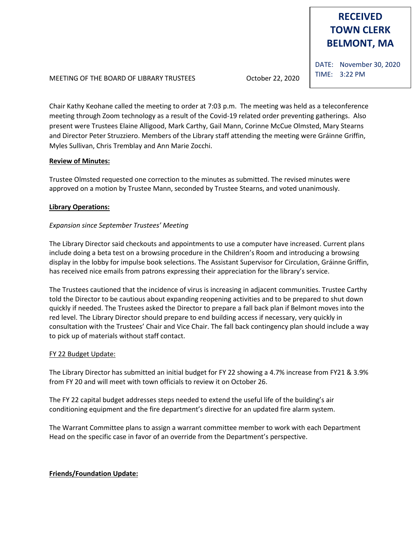# **RECEIVED TOWN CLERK BELMONT, MA**

MEETING OF THE BOARD OF LIBRARY TRUSTEES October 22, 2020

DATE: November 30, 2020 TIME: 3:22 PM

Chair Kathy Keohane called the meeting to order at 7:03 p.m. The meeting was held as a teleconference meeting through Zoom technology as a result of the Covid-19 related order preventing gatherings. Also present were Trustees Elaine Alligood, Mark Carthy, Gail Mann, Corinne McCue Olmsted, Mary Stearns and Director Peter Struzziero. Members of the Library staff attending the meeting were Gráinne Griffin, Myles Sullivan, Chris Tremblay and Ann Marie Zocchi.

## **Review of Minutes:**

Trustee Olmsted requested one correction to the minutes as submitted. The revised minutes were approved on a motion by Trustee Mann, seconded by Trustee Stearns, and voted unanimously.

# **Library Operations:**

# *Expansion since September Trustees' Meeting*

The Library Director said checkouts and appointments to use a computer have increased. Current plans include doing a beta test on a browsing procedure in the Children's Room and introducing a browsing display in the lobby for impulse book selections. The Assistant Supervisor for Circulation, Gráinne Griffin, has received nice emails from patrons expressing their appreciation for the library's service.

The Trustees cautioned that the incidence of virus is increasing in adjacent communities. Trustee Carthy told the Director to be cautious about expanding reopening activities and to be prepared to shut down quickly if needed. The Trustees asked the Director to prepare a fall back plan if Belmont moves into the red level. The Library Director should prepare to end building access if necessary, very quickly in consultation with the Trustees' Chair and Vice Chair. The fall back contingency plan should include a way to pick up of materials without staff contact.

## FY 22 Budget Update:

The Library Director has submitted an initial budget for FY 22 showing a 4.7% increase from FY21 & 3.9% from FY 20 and will meet with town officials to review it on October 26.

The FY 22 capital budget addresses steps needed to extend the useful life of the building's air conditioning equipment and the fire department's directive for an updated fire alarm system.

The Warrant Committee plans to assign a warrant committee member to work with each Department Head on the specific case in favor of an override from the Department's perspective.

## **Friends/Foundation Update:**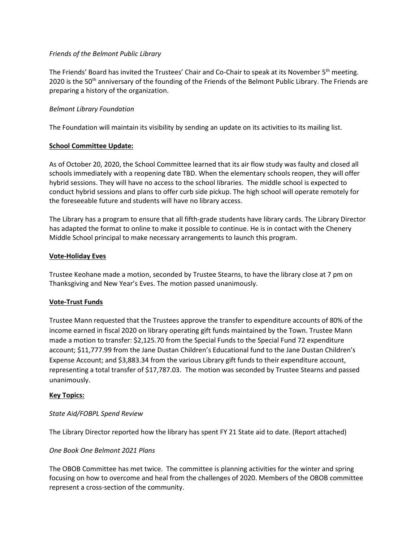### *Friends of the Belmont Public Library*

The Friends' Board has invited the Trustees' Chair and Co-Chair to speak at its November 5<sup>th</sup> meeting. 2020 is the 50<sup>th</sup> anniversary of the founding of the Friends of the Belmont Public Library. The Friends are preparing a history of the organization.

## *Belmont Library Foundation*

The Foundation will maintain its visibility by sending an update on its activities to its mailing list.

#### **School Committee Update:**

As of October 20, 2020, the School Committee learned that its air flow study was faulty and closed all schools immediately with a reopening date TBD. When the elementary schools reopen, they will offer hybrid sessions. They will have no access to the school libraries. The middle school is expected to conduct hybrid sessions and plans to offer curb side pickup. The high school will operate remotely for the foreseeable future and students will have no library access.

The Library has a program to ensure that all fifth-grade students have library cards. The Library Director has adapted the format to online to make it possible to continue. He is in contact with the Chenery Middle School principal to make necessary arrangements to launch this program.

#### **Vote-Holiday Eves**

Trustee Keohane made a motion, seconded by Trustee Stearns, to have the library close at 7 pm on Thanksgiving and New Year's Eves. The motion passed unanimously.

## **Vote-Trust Funds**

Trustee Mann requested that the Trustees approve the transfer to expenditure accounts of 80% of the income earned in fiscal 2020 on library operating gift funds maintained by the Town. Trustee Mann made a motion to transfer: \$2,125.70 from the Special Funds to the Special Fund 72 expenditure account; \$11,777.99 from the Jane Dustan Children's Educational fund to the Jane Dustan Children's Expense Account; and \$3,883.34 from the various Library gift funds to their expenditure account, representing a total transfer of \$17,787.03. The motion was seconded by Trustee Stearns and passed unanimously.

## **Key Topics:**

## *State Aid/FOBPL Spend Review*

The Library Director reported how the library has spent FY 21 State aid to date. (Report attached)

#### *One Book One Belmont 2021 Plans*

The OBOB Committee has met twice. The committee is planning activities for the winter and spring focusing on how to overcome and heal from the challenges of 2020. Members of the OBOB committee represent a cross-section of the community.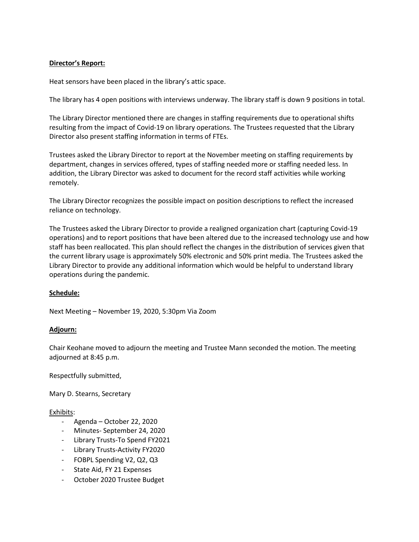## **Director's Report:**

Heat sensors have been placed in the library's attic space.

The library has 4 open positions with interviews underway. The library staff is down 9 positions in total.

The Library Director mentioned there are changes in staffing requirements due to operational shifts resulting from the impact of Covid-19 on library operations. The Trustees requested that the Library Director also present staffing information in terms of FTEs.

Trustees asked the Library Director to report at the November meeting on staffing requirements by department, changes in services offered, types of staffing needed more or staffing needed less. In addition, the Library Director was asked to document for the record staff activities while working remotely.

The Library Director recognizes the possible impact on position descriptions to reflect the increased reliance on technology.

The Trustees asked the Library Director to provide a realigned organization chart (capturing Covid-19 operations) and to report positions that have been altered due to the increased technology use and how staff has been reallocated. This plan should reflect the changes in the distribution of services given that the current library usage is approximately 50% electronic and 50% print media. The Trustees asked the Library Director to provide any additional information which would be helpful to understand library operations during the pandemic.

## **Schedule:**

Next Meeting – November 19, 2020, 5:30pm Via Zoom

## **Adjourn:**

Chair Keohane moved to adjourn the meeting and Trustee Mann seconded the motion. The meeting adjourned at 8:45 p.m.

Respectfully submitted,

Mary D. Stearns, Secretary

## Exhibits:

- Agenda October 22, 2020
- Minutes- September 24, 2020
- Library Trusts-To Spend FY2021
- Library Trusts-Activity FY2020
- FOBPL Spending V2, Q2, Q3
- State Aid, FY 21 Expenses
- October 2020 Trustee Budget